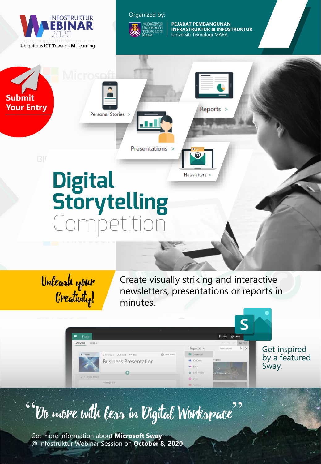

#### Organized by:



**PEJABAT PEMBANGUNAN INFRASTRUKTUR & INFOSTRUKTUR** Universiti Teknologi MARA

Reports >

@

Newsletters >



Personal Stories >

Presentations >

## Digital<br>Storytelling ipetitio

Unleash your Creativity!

Create visually striking and interactive newsletters, presentations or reports in minutes.

#### Suggested Get inspired by a featured **Business Presentation** Sway.  $\bullet$

### "Do more with less in Digital Workspace"

Get more information about **Microsoft Sway**  @ Infostruktur Webinar Session on **October 8, 2020**